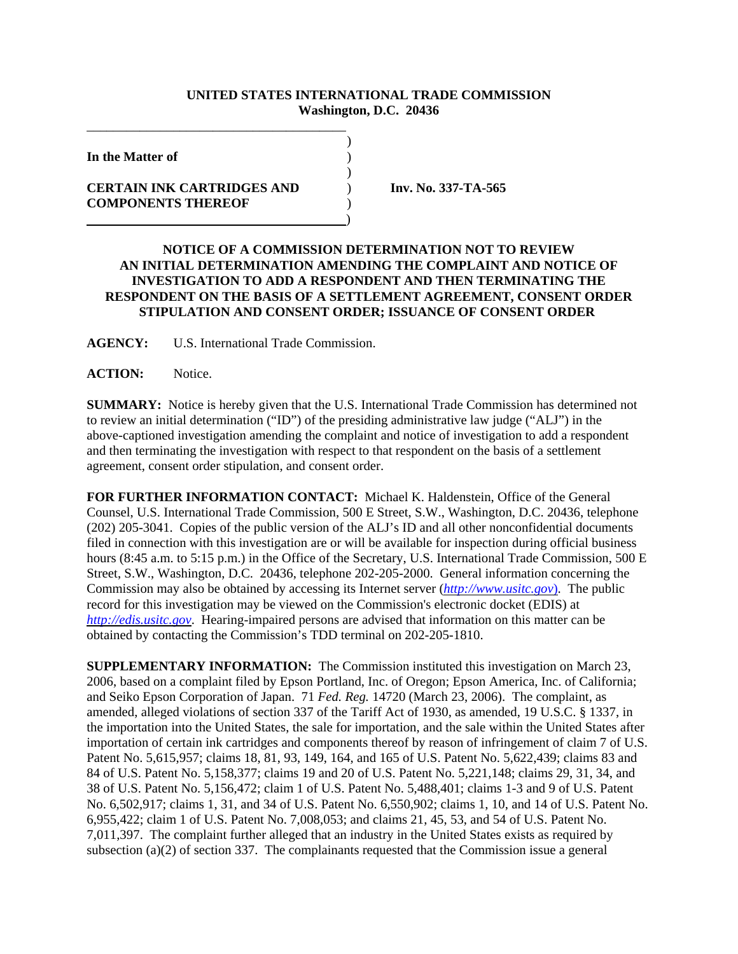## **UNITED STATES INTERNATIONAL TRADE COMMISSION Washington, D.C. 20436**

)

)

**In the Matter of** )

## **CERTAIN INK CARTRIDGES AND** ) **Inv. No. 337-TA-565 COMPONENTS THEREOF** ) )

\_\_\_\_\_\_\_\_\_\_\_\_\_\_\_\_\_\_\_\_\_\_\_\_\_\_\_\_\_\_\_\_\_\_\_\_\_\_\_

## **NOTICE OF A COMMISSION DETERMINATION NOT TO REVIEW AN INITIAL DETERMINATION AMENDING THE COMPLAINT AND NOTICE OF INVESTIGATION TO ADD A RESPONDENT AND THEN TERMINATING THE RESPONDENT ON THE BASIS OF A SETTLEMENT AGREEMENT, CONSENT ORDER STIPULATION AND CONSENT ORDER; ISSUANCE OF CONSENT ORDER**

**AGENCY:** U.S. International Trade Commission.

**ACTION:** Notice.

**SUMMARY:** Notice is hereby given that the U.S. International Trade Commission has determined not to review an initial determination ("ID") of the presiding administrative law judge ("ALJ") in the above-captioned investigation amending the complaint and notice of investigation to add a respondent and then terminating the investigation with respect to that respondent on the basis of a settlement agreement, consent order stipulation, and consent order.

**FOR FURTHER INFORMATION CONTACT:** Michael K. Haldenstein, Office of the General Counsel, U.S. International Trade Commission, 500 E Street, S.W., Washington, D.C. 20436, telephone (202) 205-3041. Copies of the public version of the ALJ's ID and all other nonconfidential documents filed in connection with this investigation are or will be available for inspection during official business hours (8:45 a.m. to 5:15 p.m.) in the Office of the Secretary, U.S. International Trade Commission, 500 E Street, S.W., Washington, D.C. 20436, telephone 202-205-2000. General information concerning the Commission may also be obtained by accessing its Internet server (*http://www.usitc.gov*). The public record for this investigation may be viewed on the Commission's electronic docket (EDIS) at *http://edis.usitc.gov*. Hearing-impaired persons are advised that information on this matter can be obtained by contacting the Commission's TDD terminal on 202-205-1810.

**SUPPLEMENTARY INFORMATION:** The Commission instituted this investigation on March 23, 2006, based on a complaint filed by Epson Portland, Inc. of Oregon; Epson America, Inc. of California; and Seiko Epson Corporation of Japan. 71 *Fed. Reg.* 14720 (March 23, 2006). The complaint, as amended, alleged violations of section 337 of the Tariff Act of 1930, as amended, 19 U.S.C. § 1337, in the importation into the United States, the sale for importation, and the sale within the United States after importation of certain ink cartridges and components thereof by reason of infringement of claim 7 of U.S. Patent No. 5,615,957; claims 18, 81, 93, 149, 164, and 165 of U.S. Patent No. 5,622,439; claims 83 and 84 of U.S. Patent No. 5,158,377; claims 19 and 20 of U.S. Patent No. 5,221,148; claims 29, 31, 34, and 38 of U.S. Patent No. 5,156,472; claim 1 of U.S. Patent No. 5,488,401; claims 1-3 and 9 of U.S. Patent No. 6,502,917; claims 1, 31, and 34 of U.S. Patent No. 6,550,902; claims 1, 10, and 14 of U.S. Patent No. 6,955,422; claim 1 of U.S. Patent No. 7,008,053; and claims 21, 45, 53, and 54 of U.S. Patent No. 7,011,397. The complaint further alleged that an industry in the United States exists as required by subsection (a)(2) of section 337. The complainants requested that the Commission issue a general